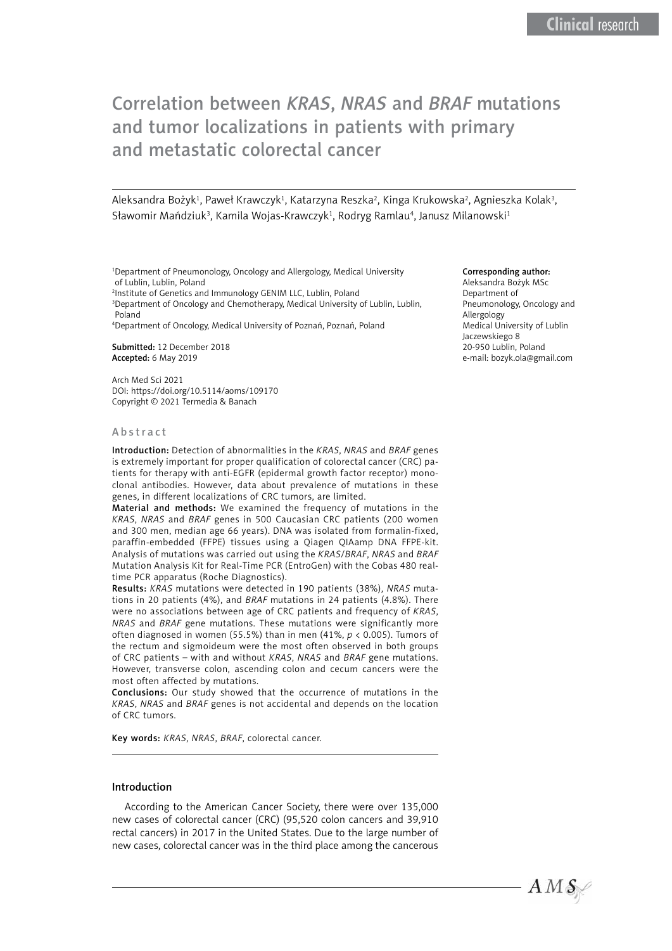# Correlation between *KRAS*, *NRAS* and *BRAF* mutations and tumor localizations in patients with primary and metastatic colorectal cancer

Aleksandra Bożyk<sup>1</sup>, Paweł Krawczyk<sup>1</sup>, Katarzyna Reszka<sup>2</sup>, Kinga Krukowska<sup>2</sup>, Agnieszka Kolak<sup>3</sup>, Sławomir Mańdziuk<sup>3</sup>, Kamila Wojas-Krawczyk<sup>1</sup>, Rodryg Ramlau<sup>4</sup>, Janusz Milanowski<sup>1</sup>

1 Department of Pneumonology, Oncology and Allergology, Medical University of Lublin, Lublin, Poland

2 Institute of Genetics and Immunology GENIM LLC, Lublin, Poland

<sup>3</sup>Department of Oncology and Chemotherapy, Medical University of Lublin, Lublin, Poland

4 Department of Oncology, Medical University of Poznań, Poznań, Poland

Submitted: 12 December 2018 Accepted: 6 May 2019

Arch Med Sci 2021 DOI: [https://doi.org/](https://doi.org/10.5114/aoms/132950)10.5114/aoms/109170 Copyright © 2021 Termedia & Banach

#### Abstract

Introduction: Detection of abnormalities in the *KRAS*, *NRAS* and *BRAF* genes is extremely important for proper qualification of colorectal cancer (CRC) patients for therapy with anti-EGFR (epidermal growth factor receptor) monoclonal antibodies. However, data about prevalence of mutations in these genes, in different localizations of CRC tumors, are limited.

Material and methods: We examined the frequency of mutations in the *KRAS*, *NRAS* and *BRAF* genes in 500 Caucasian CRC patients (200 women and 300 men, median age 66 years). DNA was isolated from formalin-fixed, paraffin-embedded (FFPE) tissues using a Qiagen QIAamp DNA FFPE-kit. Analysis of mutations was carried out using the *KRAS*/*BRAF*, *NRAS* and *BRAF* Mutation Analysis Kit for Real-Time PCR (EntroGen) with the Cobas 480 realtime PCR apparatus (Roche Diagnostics).

Results: *KRAS* mutations were detected in 190 patients (38%), *NRAS* mutations in 20 patients (4%), and *BRAF* mutations in 24 patients (4.8%). There were no associations between age of CRC patients and frequency of *KRAS*, *NRAS* and *BRAF* gene mutations. These mutations were significantly more often diagnosed in women (55.5%) than in men (41%, *p* < 0.005). Tumors of the rectum and sigmoideum were the most often observed in both groups of CRC patients – with and without *KRAS*, *NRAS* and *BRAF* gene mutations. However, transverse colon, ascending colon and cecum cancers were the most often affected by mutations.

Conclusions: Our study showed that the occurrence of mutations in the *KRAS*, *NRAS* and *BRAF* genes is not accidental and depends on the location of CRC tumors.

Key words: *KRAS*, *NRAS*, *BRAF*, colorectal cancer.

#### Introduction

According to the American Cancer Society, there were over 135,000 new cases of colorectal cancer (CRC) (95,520 colon cancers and 39,910 rectal cancers) in 2017 in the United States. Due to the large number of new cases, colorectal cancer was in the third place among the cancerous

#### Corresponding author:

Aleksandra Bożyk MSc Department of Pneumonology, Oncology and Allergology Medical University of Lublin Jaczewskiego 8 20-950 Lublin, Poland e-mail: [bozyk.ola@gmail.com](mailto:bozyk.ola@gmail.com)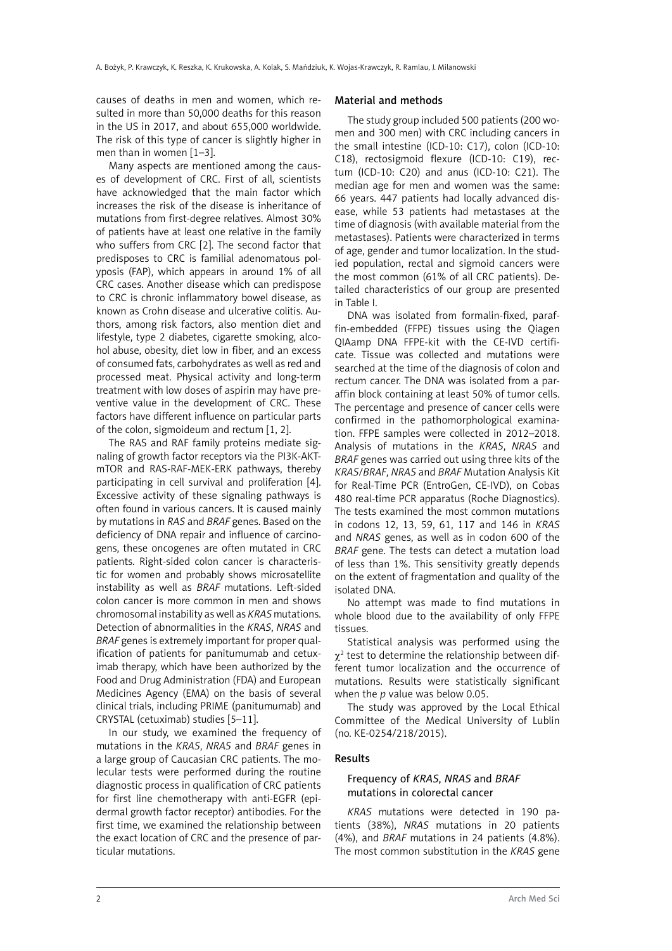causes of deaths in men and women, which resulted in more than 50,000 deaths for this reason in the US in 2017, and about 655,000 worldwide. The risk of this type of cancer is slightly higher in men than in women [1–3].

Many aspects are mentioned among the causes of development of CRC. First of all, scientists have acknowledged that the main factor which increases the risk of the disease is inheritance of mutations from first-degree relatives. Almost 30% of patients have at least one relative in the family who suffers from CRC [2]. The second factor that predisposes to CRC is familial adenomatous polyposis (FAP), which appears in around 1% of all CRC cases. Another disease which can predispose to CRC is chronic inflammatory bowel disease, as known as Crohn disease and ulcerative colitis. Authors, among risk factors, also mention diet and lifestyle, type 2 diabetes, cigarette smoking, alcohol abuse, obesity, diet low in fiber, and an excess of consumed fats, carbohydrates as well as red and processed meat. Physical activity and long-term treatment with low doses of aspirin may have preventive value in the development of CRC. These factors have different influence on particular parts of the colon, sigmoideum and rectum [1, 2].

The RAS and RAF family proteins mediate signaling of growth factor receptors via the PI3K-AKTmTOR and RAS-RAF-MEK-ERK pathways, thereby participating in cell survival and proliferation [4]. Excessive activity of these signaling pathways is often found in various cancers. It is caused mainly by mutations in *RAS* and *BRAF* genes. Based on the deficiency of DNA repair and influence of carcinogens, these oncogenes are often mutated in CRC patients. Right-sided colon cancer is characteristic for women and probably shows microsatellite instability as well as *BRAF* mutations. Left-sided colon cancer is more common in men and shows chromosomal instability as well as *KRAS* mutations. Detection of abnormalities in the *KRAS*, *NRAS* and *BRAF* genes is extremely important for proper qualification of patients for panitumumab and cetuximab therapy, which have been authorized by the Food and Drug Administration (FDA) and European Medicines Agency (EMA) on the basis of several clinical trials, including PRIME (panitumumab) and CRYSTAL (cetuximab) studies [5–11].

In our study, we examined the frequency of mutations in the *KRAS*, *NRAS* and *BRAF* genes in a large group of Caucasian CRC patients. The molecular tests were performed during the routine diagnostic process in qualification of CRC patients for first line chemotherapy with anti-EGFR (epidermal growth factor receptor) antibodies. For the first time, we examined the relationship between the exact location of CRC and the presence of particular mutations.

#### Material and methods

The study group included 500 patients (200 women and 300 men) with CRC including cancers in the small intestine (ICD-10: C17), colon (ICD-10: C18), rectosigmoid flexure (ICD-10: C19), rectum (ICD-10: C20) and anus (ICD-10: C21). The median age for men and women was the same: 66 years. 447 patients had locally advanced disease, while 53 patients had metastases at the time of diagnosis (with available material from the metastases). Patients were characterized in terms of age, gender and tumor localization. In the studied population, rectal and sigmoid cancers were the most common (61% of all CRC patients). Detailed characteristics of our group are presented in Table I.

DNA was isolated from formalin-fixed, paraffin-embedded (FFPE) tissues using the Qiagen QIAamp DNA FFPE-kit with the CE-IVD certificate. Tissue was collected and mutations were searched at the time of the diagnosis of colon and rectum cancer. The DNA was isolated from a paraffin block containing at least 50% of tumor cells. The percentage and presence of cancer cells were confirmed in the pathomorphological examination. FFPE samples were collected in 2012–2018. Analysis of mutations in the *KRAS*, *NRAS* and *BRAF* genes was carried out using three kits of the *KRAS*/*BRAF*, *NRAS* and *BRAF* Mutation Analysis Kit for Real-Time PCR (EntroGen, CE-IVD), on Cobas 480 real-time PCR apparatus (Roche Diagnostics). The tests examined the most common mutations in codons 12, 13, 59, 61, 117 and 146 in *KRAS* and *NRAS* genes, as well as in codon 600 of the *BRAF* gene. The tests can detect a mutation load of less than 1%. This sensitivity greatly depends on the extent of fragmentation and quality of the isolated DNA.

No attempt was made to find mutations in whole blood due to the availability of only FFPE tissues.

Statistical analysis was performed using the  $\chi^2$  test to determine the relationship between different tumor localization and the occurrence of mutations. Results were statistically significant when the *p* value was below 0.05.

The study was approved by the Local Ethical Committee of the Medical University of Lublin (no. KE-0254/218/2015).

#### Results

#### Frequency of *KRAS*, *NRAS* and *BRAF*  mutations in colorectal cancer

*KRAS* mutations were detected in 190 patients (38%), *NRAS* mutations in 20 patients (4%), and *BRAF* mutations in 24 patients (4.8%). The most common substitution in the *KRAS* gene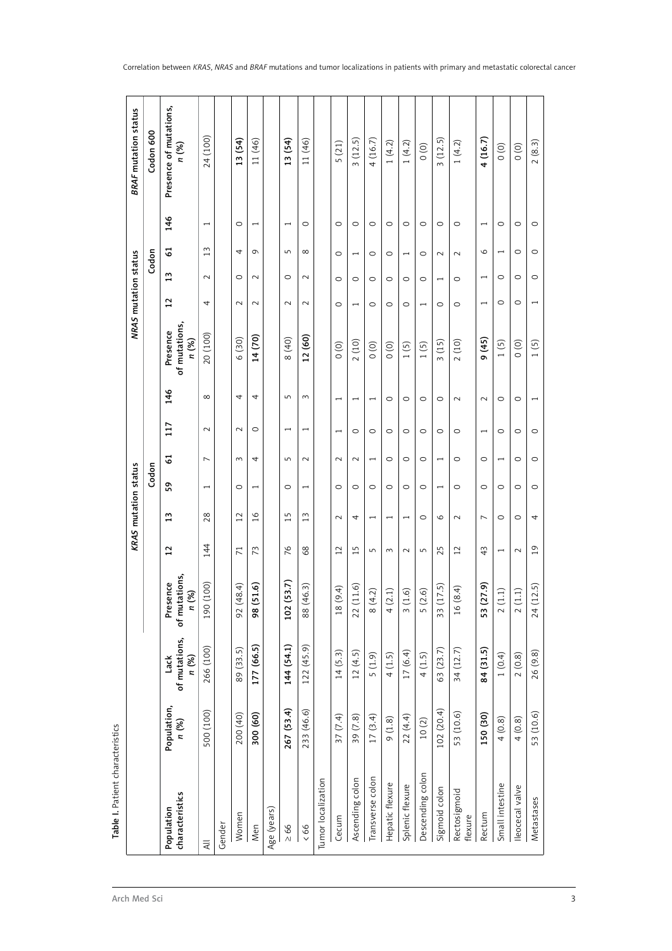| į     |
|-------|
|       |
|       |
|       |
|       |
|       |
| chen, |
|       |
| Ć     |
| ã     |
|       |
|       |
|       |
|       |
|       |
|       |
|       |
|       |

|                               |                      |                                |                                                            |                 | KRAS mutation status |                          |                |                          |                          |                                    | NRAS mutation status     |                          |                          |                          | <b>BRAF</b> mutation status     |
|-------------------------------|----------------------|--------------------------------|------------------------------------------------------------|-----------------|----------------------|--------------------------|----------------|--------------------------|--------------------------|------------------------------------|--------------------------|--------------------------|--------------------------|--------------------------|---------------------------------|
|                               |                      |                                |                                                            |                 |                      | Codon                    |                |                          |                          |                                    |                          |                          | Codon                    |                          | Codon 600                       |
| characteristics<br>Population | Population,<br>n (%) | of mutations,<br>n (%)<br>Lack | of mutations,<br>Presence<br>$\mathcal{E}$<br>$\mathbf{z}$ | $\overline{1}$  | $\mathbf{1}$         | 59                       | 5              | 117                      | 146                      | of mutations,<br>Presence<br>n (%) | $\overline{1}$           | $\frac{3}{2}$            | 5                        | 146                      | Presence of mutations,<br>n (%) |
| $\equiv$                      | 500 (100)            | 266 (100)                      | (100)<br>190                                               | 144             | 28                   | $\overline{\phantom{0}}$ | $\overline{ }$ | $\sim$                   | $\infty$                 | 20 (100)                           | 4                        | $\sim$                   | 13                       | $\overline{ }$           | 24 (100)                        |
| Gender                        |                      |                                |                                                            |                 |                      |                          |                |                          |                          |                                    |                          |                          |                          |                          |                                 |
| Women                         | 200 (40)             | 89 (33.5)                      | (48.4)<br>92                                               | $\overline{71}$ | $\overline{12}$      | $\circ$                  | 3              | $\sim$                   | 4                        | 6 (30)                             | $\sim$                   | $\circ$                  | 4                        | O                        | 13 (54)                         |
| Men                           | 300 (60)             | 177 (66.5)                     | (51.6)<br>98                                               | 73              | $\frac{8}{1}$        | $\overline{\phantom{0}}$ | 4              | $\circ$                  | 4                        | 14(70)                             | $\sim$                   | $\sim$                   | $\sigma$                 | $\overline{\phantom{0}}$ | 11 (46)                         |
| Age (years)                   |                      |                                |                                                            |                 |                      |                          |                |                          |                          |                                    |                          |                          |                          |                          |                                 |
| $\geq 66$                     | 267 (53.4)           | 144 (54.1)                     | (53.7)<br>102                                              | 76              | $\overline{15}$      | $\circ$                  | S              | $\overline{\phantom{0}}$ | S                        | 8 (40)                             | $\sim$                   | $\circ$                  | S                        | $\overline{\phantom{0}}$ | 13 (54)                         |
| 66                            | 233 (46.6)           | 122(45.9)                      | (46.3)<br>88                                               | 68              | $\frac{3}{2}$        | $\overline{\phantom{0}}$ | $\sim$         | $\overline{ }$           | 3                        | 12 (60)                            | $\sim$                   | $\sim$                   | ${}^{\circ}$             | O                        | 11 (46)                         |
| Tumor localization            |                      |                                |                                                            |                 |                      |                          |                |                          |                          |                                    |                          |                          |                          |                          |                                 |
| Cecum                         | 37(7.4)              | 14(5.3)                        | (9.4)<br>$\frac{8}{18}$                                    | $\overline{12}$ | $\sim$               | $\circ$                  | $\sim$         | $\overline{\phantom{0}}$ | $\overline{\phantom{0}}$ | $\circ$ (0)                        | $\circ$                  | $\circ$                  | $\circ$                  | $\circ$                  | 5(21)                           |
| Ascending colon               | 39 (7.8)             | 12(4.5)                        | (11.6)<br>22                                               | 15              | 4                    | $\circ$                  | $\sim$         | $\circ$                  | $\overline{\phantom{0}}$ | 2(10)                              |                          | O                        |                          | O                        | 3(12.5)                         |
| Transverse colon              | 17(3.4)              | (1.9)                          | (4.2)<br>$\infty$                                          | 5               | I                    | $\circ$                  | $\overline{ }$ | $\circ$                  | $\overline{\phantom{0}}$ | $\circ$                            | $\circ$                  | $\circ$                  | $\circ$                  | O                        | 4(16.7)                         |
| Hepatic flexure               | 9(1.8)               | 4(1.5)                         | (2.1)<br>4                                                 | 3               |                      | $\circ$                  | $\circ$        | $\circ$                  | $\circ$                  | $\circ$                            | $\circ$                  | $\circ$                  | $\circ$                  | O                        | 1(4.2)                          |
| Splenic flexure               | 22 (4.4)             | 17(6.4)                        | (1.6)<br>$\sim$                                            | $\sim$          | $\overline{ }$       | $\circ$                  | $\circ$        | $\circ$                  | $\circ$                  | 1(5)                               | $\circ$                  | $\circ$                  | $\overline{\phantom{0}}$ | $\circ$                  | 1(4.2)                          |
| Descending colon              | 10(2)                | 4(1.5)                         | (2.6)<br>S                                                 | S               | $\circ$              | $\circ$                  | O              | $\circ$                  | $\circ$                  | 1(5)                               | $\overline{\phantom{0}}$ | $\circ$                  | $\circ$                  | $\circ$                  | $\circ$                         |
| Sigmoid colon                 | 102 (20.4)           | 63 (23.7)                      | (17.5)<br>33                                               | 25              | $\circ$              | $\overline{ }$           | $\overline{ }$ | $\circ$                  | $\circ$                  | 3(15)                              | $\circ$                  | $\overline{ }$           | $\sim$                   | $\circ$                  | 3(12.5)                         |
| Rectosigmoid<br>flexure       | 53 (10.6)            | 34 (12.7)                      | (8.4)<br>$\frac{6}{1}$                                     | 12              | $\sim$               | $\circ$                  | $\circ$        | $\circ$                  | $\sim$                   | 2(10)                              | $\circ$                  | $\circ$                  | $\sim$                   | O                        | 1(4.2)                          |
| Rectum                        | 150 (30)             | 84 (31.5)                      | (27.9)<br>53                                               | 43              | $\overline{ }$       | $\circ$                  | $\circ$        | $\overline{\phantom{0}}$ | $\sim$                   | 9(45)                              |                          | $\overline{\phantom{0}}$ | $\circ$                  | $\overline{ }$           | 4(16.7)                         |
| Small intestine               | 4(0.8)               | 1(0.4)                         | $(1.1)$<br>$\sim$                                          | $\overline{ }$  | $\circ$              | $\circ$                  |                | $\circ$                  | $\circ$                  | 1(5)                               | $\circ$                  | $\circ$                  | $\overline{ }$           | $\circ$                  | $\circ$                         |
| Ileocecal valve               | 4(0.8)               | 2(0.8)                         | $(1.1)$<br>$\sim$                                          | $\sim$          | $\circ$              | $\circ$                  | $\circ$        | $\circ$                  | $\circ$                  | $\circ$                            | $\circ$                  | $\circ$                  | $\circ$                  | $\circ$                  | $\circ$                         |
| Metastases                    | 53 (10.6)            | 26 (9.8)                       | (12.5)<br>24                                               | $\overline{19}$ | 4                    | $\circ$                  | $\circ$        | $\circ$                  | ſ                        | 1(5)                               |                          | $\circ$                  | $\circ$                  | $\circ$                  | 2(8.3)                          |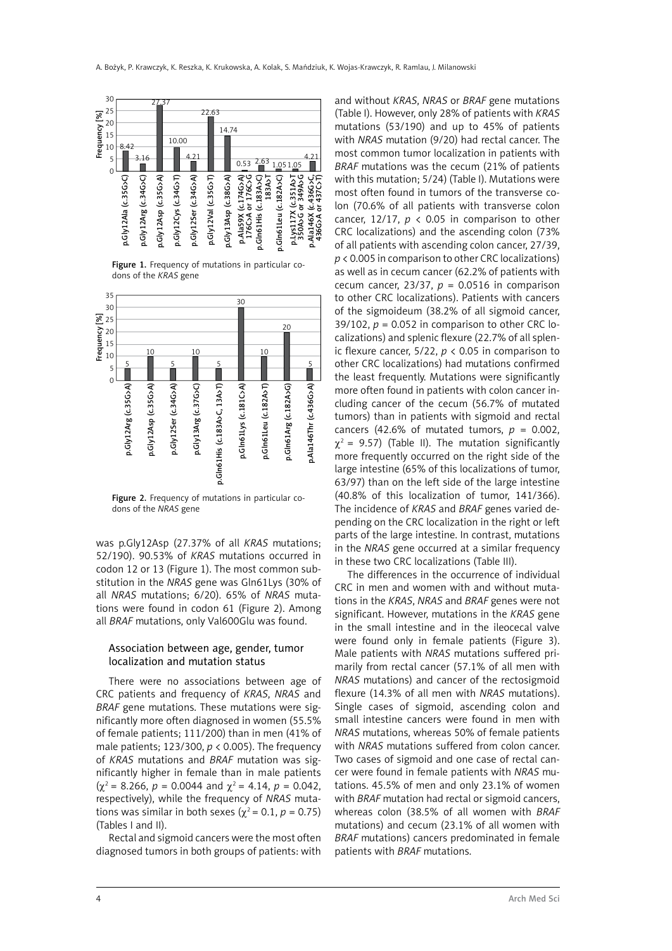

Figure 1. Frequency of mutations in particular codons of the *KRAS* gene



Figure 2. Frequency of mutations in particular codons of the *NRAS* gene

was p.Gly12Asp (27.37% of all *KRAS* mutations; 52/190). 90.53% of *KRAS* mutations occurred in codon 12 or 13 (Figure 1). The most common substitution in the *NRAS* gene was Gln61Lys (30% of all *NRAS* mutations; 6/20). 65% of *NRAS* mutations were found in codon 61 (Figure 2). Among all *BRAF* mutations, only Val600Glu was found.

## Association between age, gender, tumor localization and mutation status

There were no associations between age of CRC patients and frequency of *KRAS*, *NRAS* and *BRAF* gene mutations. These mutations were significantly more often diagnosed in women (55.5% of female patients; 111/200) than in men (41% of male patients; 123/300, *p* < 0.005). The frequency of *KRAS* mutations and *BRAF* mutation was significantly higher in female than in male patients  $(\gamma^2 = 8.266, p = 0.0044 \text{ and } \gamma^2 = 4.14, p = 0.042.$ respectively), while the frequency of *NRAS* mutations was similar in both sexes ( $χ² = 0.1, p = 0.75$ ) (Tables I and II).

Rectal and sigmoid cancers were the most often diagnosed tumors in both groups of patients: with

and without *KRAS*, *NRAS* or *BRAF* gene mutations (Table I). However, only 28% of patients with *KRAS* mutations (53/190) and up to 45% of patients with *NRAS* mutation (9/20) had rectal cancer. The most common tumor localization in patients with *BRAF* mutations was the cecum (21% of patients with this mutation; 5/24) (Table I). Mutations were most often found in tumors of the transverse colon (70.6% of all patients with transverse colon cancer, 12/17,  $p \lt 0.05$  in comparison to other CRC localizations) and the ascending colon (73% of all patients with ascending colon cancer, 27/39, *p* < 0.005 in comparison to other CRC localizations) as well as in cecum cancer (62.2% of patients with cecum cancer, 23/37,  $p = 0.0516$  in comparison to other CRC localizations). Patients with cancers of the sigmoideum (38.2% of all sigmoid cancer, 39/102,  $p = 0.052$  in comparison to other CRC localizations) and splenic flexure (22.7% of all splenic flexure cancer,  $5/22$ ,  $p < 0.05$  in comparison to other CRC localizations) had mutations confirmed the least frequently. Mutations were significantly more often found in patients with colon cancer including cancer of the cecum (56.7% of mutated tumors) than in patients with sigmoid and rectal cancers (42.6% of mutated tumors,  $p = 0.002$ ,  $\gamma^2$  = 9.57) (Table II). The mutation significantly more frequently occurred on the right side of the large intestine (65% of this localizations of tumor, 63/97) than on the left side of the large intestine (40.8% of this localization of tumor, 141/366). The incidence of *KRAS* and *BRAF* genes varied depending on the CRC localization in the right or left parts of the large intestine. In contrast, mutations in the *NRAS* gene occurred at a similar frequency in these two CRC localizations (Table III).

The differences in the occurrence of individual CRC in men and women with and without mutations in the *KRAS*, *NRAS* and *BRAF* genes were not significant. However, mutations in the *KRAS* gene in the small intestine and in the ileocecal valve were found only in female patients (Figure 3). Male patients with *NRAS* mutations suffered primarily from rectal cancer (57.1% of all men with *NRAS* mutations) and cancer of the rectosigmoid flexure (14.3% of all men with *NRAS* mutations). Single cases of sigmoid, ascending colon and small intestine cancers were found in men with *NRAS* mutations, whereas 50% of female patients with *NRAS* mutations suffered from colon cancer. Two cases of sigmoid and one case of rectal cancer were found in female patients with *NRAS* mutations. 45.5% of men and only 23.1% of women with *BRAF* mutation had rectal or sigmoid cancers, whereas colon (38.5% of all women with *BRAF* mutations) and cecum (23.1% of all women with *BRAF* mutations) cancers predominated in female patients with *BRAF* mutations.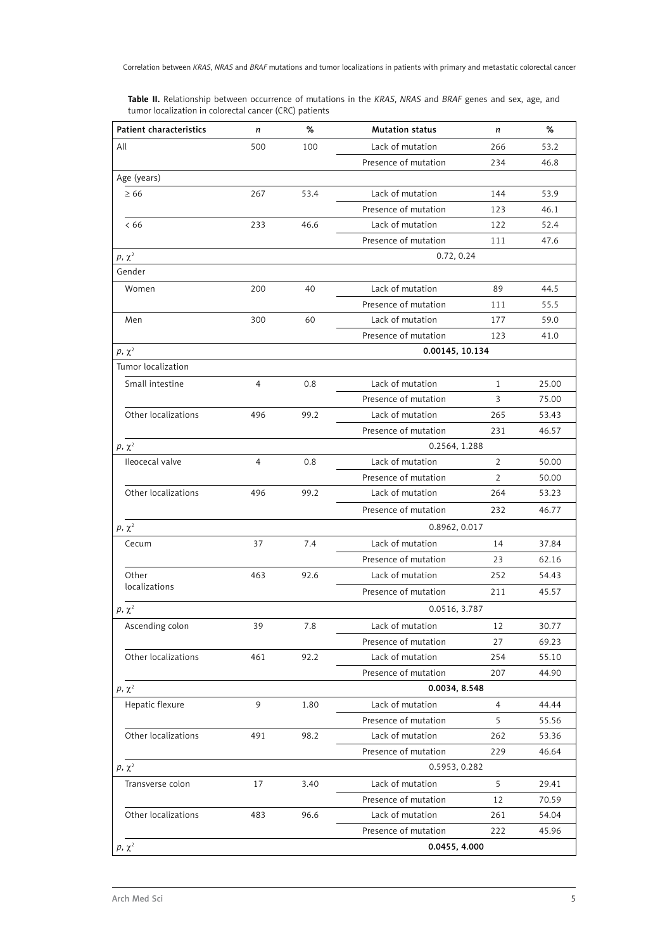**Table II.** Relationship between occurrence of mutations in the *KRAS*, *NRAS* and *BRAF* genes and sex, age, and tumor localization in colorectal cancer (CRC) patients

| <b>Patient characteristics</b> | n              | %    | <b>Mutation status</b> | n            | %     |
|--------------------------------|----------------|------|------------------------|--------------|-------|
| All                            | 500            | 100  | Lack of mutation       | 266          | 53.2  |
|                                |                |      | Presence of mutation   | 234          | 46.8  |
| Age (years)                    |                |      |                        |              |       |
| $\geq 66$                      | 267            | 53.4 | Lack of mutation       | 144          | 53.9  |
|                                |                |      | Presence of mutation   | 123          | 46.1  |
| <66                            | 233            | 46.6 | Lack of mutation       | 122          | 52.4  |
|                                |                |      | Presence of mutation   | 111          | 47.6  |
| $p, \chi^2$                    |                |      | 0.72, 0.24             |              |       |
| Gender                         |                |      |                        |              |       |
| Women                          | 200            | 40   | Lack of mutation       | 89           | 44.5  |
|                                |                |      | Presence of mutation   | 111          | 55.5  |
| Men                            | 300            | 60   | Lack of mutation       | 177          | 59.0  |
|                                |                |      | Presence of mutation   | 123          | 41.0  |
| $p, \chi^2$                    |                |      | 0.00145, 10.134        |              |       |
| Tumor localization             |                |      |                        |              |       |
| Small intestine                | 4              | 0.8  | Lack of mutation       | $\mathbf{1}$ | 25.00 |
|                                |                |      | Presence of mutation   | 3            | 75.00 |
| Other localizations            | 496            | 99.2 | Lack of mutation       | 265          | 53.43 |
|                                |                |      | Presence of mutation   | 231          | 46.57 |
| $p, \chi^2$                    |                |      | 0.2564, 1.288          |              |       |
| Ileocecal valve                | $\overline{4}$ | 0.8  | Lack of mutation       | 2            | 50.00 |
|                                |                |      | Presence of mutation   | 2            | 50.00 |
| Other localizations            | 496            | 99.2 | Lack of mutation       | 264          | 53.23 |
|                                |                |      | Presence of mutation   | 232          | 46.77 |
| $p, \chi^2$                    |                |      | 0.8962, 0.017          |              |       |
| Cecum                          | 37             | 7.4  | Lack of mutation       | 14           | 37.84 |
|                                |                |      | Presence of mutation   | 23           | 62.16 |
| Other                          | 463            | 92.6 | Lack of mutation       | 252          | 54.43 |
| localizations                  |                |      | Presence of mutation   | 211          | 45.57 |
| $p, \chi^2$                    |                |      | 0.0516, 3.787          |              |       |
| Ascending colon                | 39             | 7.8  | Lack of mutation       | 12           | 30.77 |
|                                |                |      | Presence of mutation   | 27           | 69.23 |
| Other localizations            | 461            | 92.2 | Lack of mutation       | 254          | 55.10 |
|                                |                |      | Presence of mutation   | 207          | 44.90 |
| $p, \chi^2$                    |                |      | 0.0034, 8.548          |              |       |
| Hepatic flexure                | 9              | 1.80 | Lack of mutation       | 4            | 44.44 |
|                                |                |      | Presence of mutation   | 5            | 55.56 |
| Other localizations            | 491            | 98.2 | Lack of mutation       | 262          | 53.36 |
|                                |                |      | Presence of mutation   | 229          | 46.64 |
| $p, \chi^2$                    |                |      | 0.5953, 0.282          |              |       |
| Transverse colon               | 17             | 3.40 | Lack of mutation       | 5            | 29.41 |
|                                |                |      | Presence of mutation   | 12           | 70.59 |
| Other localizations            | 483            | 96.6 | Lack of mutation       | 261          | 54.04 |
|                                |                |      | Presence of mutation   | 222          | 45.96 |
| $p, \chi^2$                    |                |      | 0.0455, 4.000          |              |       |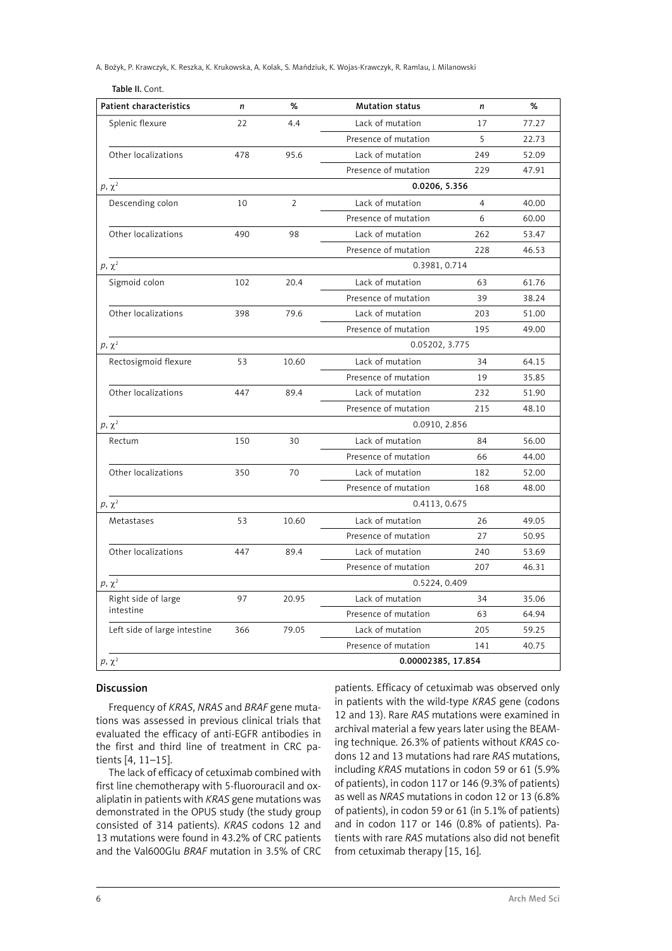A. Bożyk, P. Krawczyk, K. Reszka, K. Krukowska, A. Kolak, S. Mańdziuk, K. Wojas-Krawczyk, R. Ramlau, J. Milanowski

| Table II. Cont.                |     |                |                        |                |       |
|--------------------------------|-----|----------------|------------------------|----------------|-------|
| <b>Patient characteristics</b> | n   | %              | <b>Mutation status</b> | n              | %     |
| Splenic flexure                | 22  | 4.4            | Lack of mutation       | 17             | 77.27 |
|                                |     |                | Presence of mutation   | 5              | 22.73 |
| Other localizations            | 478 | 95.6           | Lack of mutation       | 249            | 52.09 |
|                                |     |                | Presence of mutation   | 229            | 47.91 |
| $p, \chi^2$                    |     |                | 0.0206, 5.356          |                |       |
| Descending colon               | 10  | $\overline{2}$ | Lack of mutation       | $\overline{4}$ | 40.00 |
|                                |     |                | Presence of mutation   | 6              | 60.00 |
| Other localizations            | 490 | 98             | Lack of mutation       | 262            | 53.47 |
|                                |     |                | Presence of mutation   | 228            | 46.53 |
| $p, \chi^2$                    |     |                | 0.3981, 0.714          |                |       |
| Sigmoid colon                  | 102 | 20.4           | Lack of mutation       | 63             | 61.76 |
|                                |     |                | Presence of mutation   | 39             | 38.24 |
| Other localizations            | 398 | 79.6           | Lack of mutation       | 203            | 51.00 |
|                                |     |                | Presence of mutation   | 195            | 49.00 |
| $p, \chi^2$                    |     |                | 0.05202, 3.775         |                |       |
| Rectosigmoid flexure           | 53  | 10.60          | Lack of mutation       | 34             | 64.15 |
|                                |     |                | Presence of mutation   | 19             | 35.85 |
| Other localizations            | 447 | 89.4           | Lack of mutation       | 232            | 51.90 |
|                                |     |                | Presence of mutation   | 215            | 48.10 |
| $p, \chi^2$                    |     |                | 0.0910, 2.856          |                |       |
| Rectum                         | 150 | 30             | Lack of mutation       | 84             | 56.00 |
|                                |     |                | Presence of mutation   | 66             | 44.00 |
| Other localizations            | 350 | 70             | Lack of mutation       | 182            | 52.00 |
|                                |     |                | Presence of mutation   | 168            | 48.00 |
| $p, \chi^2$                    |     |                | 0.4113, 0.675          |                |       |
| Metastases                     | 53  | 10.60          | Lack of mutation       | 26             | 49.05 |
|                                |     |                | Presence of mutation   | 27             | 50.95 |
| Other localizations            | 447 | 89.4           | Lack of mutation       | 240            | 53.69 |
|                                |     |                | Presence of mutation   | 207            | 46.31 |
| $p, \chi^2$                    |     |                | 0.5224, 0.409          |                |       |
| Right side of large            | 97  | 20.95          | Lack of mutation       | 34             | 35.06 |
| intestine                      |     |                | Presence of mutation   | 63             | 64.94 |
| Left side of large intestine   | 366 | 79.05          | Lack of mutation       | 205            | 59.25 |
|                                |     |                | Presence of mutation   | 141            | 40.75 |
| $p, \chi^2$                    |     |                | 0.00002385, 17.854     |                |       |

# Discussion

Frequency of *KRAS*, *NRAS* and *BRAF* gene mutations was assessed in previous clinical trials that evaluated the efficacy of anti-EGFR antibodies in the first and third line of treatment in CRC patients [4, 11–15].

The lack of efficacy of cetuximab combined with first line chemotherapy with 5-fluorouracil and oxaliplatin in patients with *KRAS* gene mutations was demonstrated in the OPUS study (the study group consisted of 314 patients). *KRAS* codons 12 and 13 mutations were found in 43.2% of CRC patients and the Val600Glu *BRAF* mutation in 3.5% of CRC patients. Efficacy of cetuximab was observed only in patients with the wild-type *KRAS* gene (codons 12 and 13). Rare *RAS* mutations were examined in archival material a few years later using the BEAMing technique. 26.3% of patients without *KRAS* codons 12 and 13 mutations had rare *RAS* mutations, including *KRAS* mutations in codon 59 or 61 (5.9% of patients), in codon 117 or 146 (9.3% of patients) as well as *NRAS* mutations in codon 12 or 13 (6.8% of patients), in codon 59 or 61 (in 5.1% of patients) and in codon 117 or 146 (0.8% of patients). Patients with rare *RAS* mutations also did not benefit from cetuximab therapy [15, 16].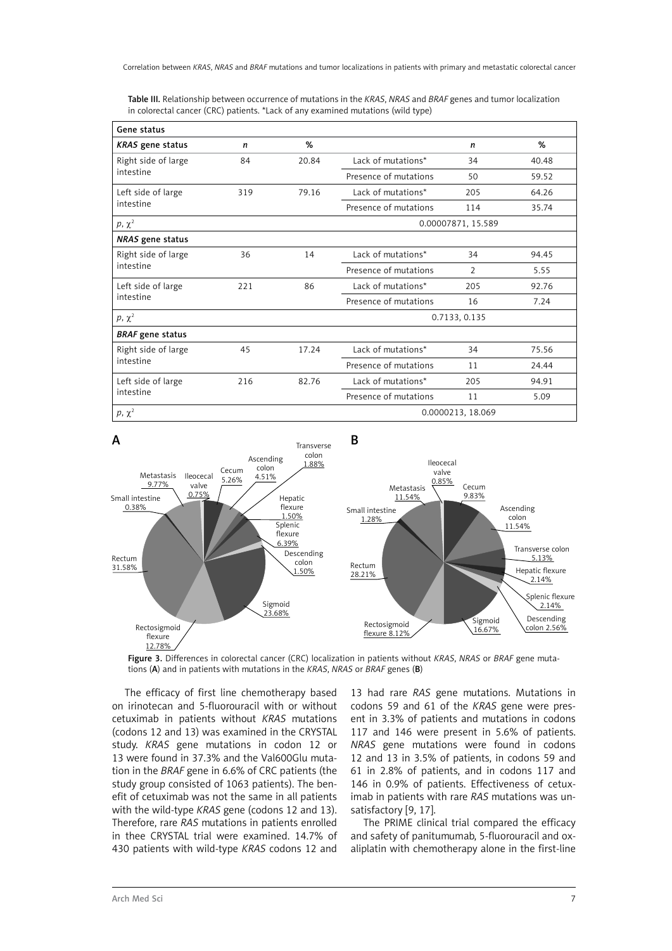Table III. Relationship between occurrence of mutations in the *KRAS*, *NRAS* and *BRAF* genes and tumor localization in colorectal cancer (CRC) patients. \*Lack of any examined mutations (wild type)

| Gene status             |     |       |                       |                    |       |  |  |
|-------------------------|-----|-------|-----------------------|--------------------|-------|--|--|
| <b>KRAS</b> gene status | n   | %     |                       | n                  | %     |  |  |
| Right side of large     | 84  | 20.84 | Lack of mutations*    | 34                 | 40.48 |  |  |
| intestine               |     |       | Presence of mutations | 50                 | 59.52 |  |  |
| Left side of large      | 319 | 79.16 | Lack of mutations*    | 205                | 64.26 |  |  |
| intestine               |     |       | Presence of mutations | 114                | 35.74 |  |  |
| $p, \chi^2$             |     |       |                       | 0.00007871, 15.589 |       |  |  |
| NRAS gene status        |     |       |                       |                    |       |  |  |
| Right side of large     | 36  | 14    | Lack of mutations*    | 34                 | 94.45 |  |  |
| intestine               |     |       | Presence of mutations | $\mathcal{P}$      | 5.55  |  |  |
| Left side of large      | 221 | 86    | Lack of mutations*    | 205                | 92.76 |  |  |
| intestine               |     |       | Presence of mutations | 16                 | 7.24  |  |  |
| $p, \chi^2$             |     |       | 0.7133, 0.135         |                    |       |  |  |
| <b>BRAF</b> gene status |     |       |                       |                    |       |  |  |
| Right side of large     | 45  | 17.24 | Lack of mutations*    | 34                 | 75.56 |  |  |
| intestine               |     |       | Presence of mutations | 11                 | 24.44 |  |  |
| Left side of large      | 216 | 82.76 | Lack of mutations*    | 205                | 94.91 |  |  |
| intestine               |     |       | Presence of mutations | 11                 | 5.09  |  |  |
| $p, \chi^2$             |     |       |                       | 0.0000213, 18.069  |       |  |  |



Figure 3. Differences in colorectal cancer (CRC) localization in patients without *KRAS*, *NRAS* or *BRAF* gene mutations (A) and in patients with mutations in the *KRAS*, *NRAS* or *BRAF* genes (B)

The efficacy of first line chemotherapy based on irinotecan and 5-fluorouracil with or without cetuximab in patients without *KRAS* mutations (codons 12 and 13) was examined in the CRYSTAL study. *KRAS* gene mutations in codon 12 or 13 were found in 37.3% and the Val600Glu mutation in the *BRAF* gene in 6.6% of CRC patients (the study group consisted of 1063 patients). The benefit of cetuximab was not the same in all patients with the wild-type *KRAS* gene (codons 12 and 13). Therefore, rare *RAS* mutations in patients enrolled in thee CRYSTAL trial were examined. 14.7% of 430 patients with wild-type *KRAS* codons 12 and

13 had rare *RAS* gene mutations. Mutations in codons 59 and 61 of the *KRAS* gene were present in 3.3% of patients and mutations in codons 117 and 146 were present in 5.6% of patients. *NRAS* gene mutations were found in codons 12 and 13 in 3.5% of patients, in codons 59 and 61 in 2.8% of patients, and in codons 117 and 146 in 0.9% of patients. Effectiveness of cetuximab in patients with rare *RAS* mutations was unsatisfactory [9, 17].

The PRIME clinical trial compared the efficacy and safety of panitumumab, 5-fluorouracil and oxaliplatin with chemotherapy alone in the first-line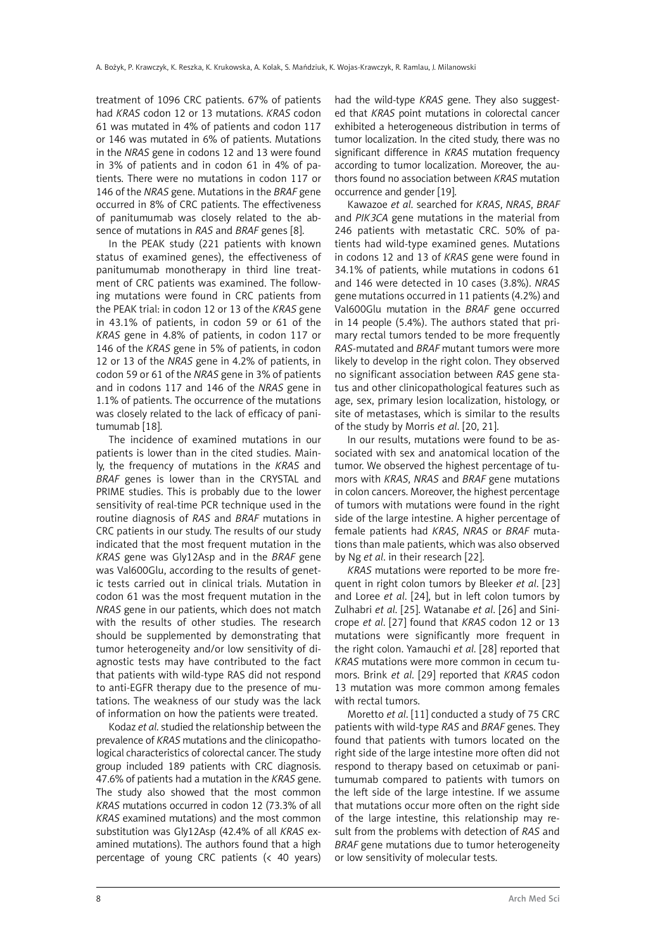treatment of 1096 CRC patients. 67% of patients had *KRAS* codon 12 or 13 mutations. *KRAS* codon 61 was mutated in 4% of patients and codon 117 or 146 was mutated in 6% of patients. Mutations in the *NRAS* gene in codons 12 and 13 were found in 3% of patients and in codon 61 in 4% of patients. There were no mutations in codon 117 or 146 of the *NRAS* gene. Mutations in the *BRAF* gene occurred in 8% of CRC patients. The effectiveness of panitumumab was closely related to the absence of mutations in *RAS* and *BRAF* genes [8].

In the PEAK study (221 patients with known status of examined genes), the effectiveness of panitumumab monotherapy in third line treatment of CRC patients was examined. The following mutations were found in CRC patients from the PEAK trial: in codon 12 or 13 of the *KRAS* gene in 43.1% of patients, in codon 59 or 61 of the *KRAS* gene in 4.8% of patients, in codon 117 or 146 of the *KRAS* gene in 5% of patients, in codon 12 or 13 of the *NRAS* gene in 4.2% of patients, in codon 59 or 61 of the *NRAS* gene in 3% of patients and in codons 117 and 146 of the *NRAS* gene in 1.1% of patients. The occurrence of the mutations was closely related to the lack of efficacy of panitumumab [18].

The incidence of examined mutations in our patients is lower than in the cited studies. Mainly, the frequency of mutations in the *KRAS* and *BRAF* genes is lower than in the CRYSTAL and PRIME studies. This is probably due to the lower sensitivity of real-time PCR technique used in the routine diagnosis of *RAS* and *BRAF* mutations in CRC patients in our study. The results of our study indicated that the most frequent mutation in the *KRAS* gene was Gly12Asp and in the *BRAF* gene was Val600Glu, according to the results of genetic tests carried out in clinical trials. Mutation in codon 61 was the most frequent mutation in the *NRAS* gene in our patients, which does not match with the results of other studies. The research should be supplemented by demonstrating that tumor heterogeneity and/or low sensitivity of diagnostic tests may have contributed to the fact that patients with wild-type RAS did not respond to anti-EGFR therapy due to the presence of mutations. The weakness of our study was the lack of information on how the patients were treated.

Kodaz *et al*. studied the relationship between the prevalence of *KRAS* mutations and the clinicopathological characteristics of colorectal cancer. The study group included 189 patients with CRC diagnosis. 47.6% of patients had a mutation in the *KRAS* gene. The study also showed that the most common *KRAS* mutations occurred in codon 12 (73.3% of all *KRAS* examined mutations) and the most common substitution was Gly12Asp (42.4% of all *KRAS* examined mutations). The authors found that a high percentage of young CRC patients (< 40 years) had the wild-type *KRAS* gene. They also suggested that *KRAS* point mutations in colorectal cancer exhibited a heterogeneous distribution in terms of tumor localization. In the cited study, there was no significant difference in *KRAS* mutation frequency according to tumor localization. Moreover, the authors found no association between *KRAS* mutation occurrence and gender [19].

Kawazoe *et al*. searched for *KRAS*, *NRAS*, *BRAF* and *PIK3CA* gene mutations in the material from 246 patients with metastatic CRC. 50% of patients had wild-type examined genes. Mutations in codons 12 and 13 of *KRAS* gene were found in 34.1% of patients, while mutations in codons 61 and 146 were detected in 10 cases (3.8%). *NRAS* gene mutations occurred in 11 patients (4.2%) and Val600Glu mutation in the *BRAF* gene occurred in 14 people (5.4%). The authors stated that primary rectal tumors tended to be more frequently *RAS-*mutated and *BRAF* mutant tumors were more likely to develop in the right colon. They observed no significant association between *RAS* gene status and other clinicopathological features such as age, sex, primary lesion localization, histology, or site of metastases, which is similar to the results of the study by Morris *et al*. [20, 21].

In our results, mutations were found to be associated with sex and anatomical location of the tumor. We observed the highest percentage of tumors with *KRAS*, *NRAS* and *BRAF* gene mutations in colon cancers. Moreover, the highest percentage of tumors with mutations were found in the right side of the large intestine. A higher percentage of female patients had *KRAS*, *NRAS* or *BRAF* mutations than male patients, which was also observed by Ng *et al*. in their research [22].

*KRAS* mutations were reported to be more frequent in right colon tumors by Bleeker *et al*. [23] and Loree *et al*. [24], but in left colon tumors by Zulhabri *et al*. [25]. Watanabe *et al*. [26] and Sinicrope *et al*. [27] found that *KRAS* codon 12 or 13 mutations were significantly more frequent in the right colon. Yamauchi *et al*. [28] reported that *KRAS* mutations were more common in cecum tumors. Brink *et al*. [29] reported that *KRAS* codon 13 mutation was more common among females with rectal tumors.

Moretto *et al*. [11] conducted a study of 75 CRC patients with wild-type *RAS* and *BRAF* genes. They found that patients with tumors located on the right side of the large intestine more often did not respond to therapy based on cetuximab or panitumumab compared to patients with tumors on the left side of the large intestine. If we assume that mutations occur more often on the right side of the large intestine, this relationship may result from the problems with detection of *RAS* and *BRAF* gene mutations due to tumor heterogeneity or low sensitivity of molecular tests.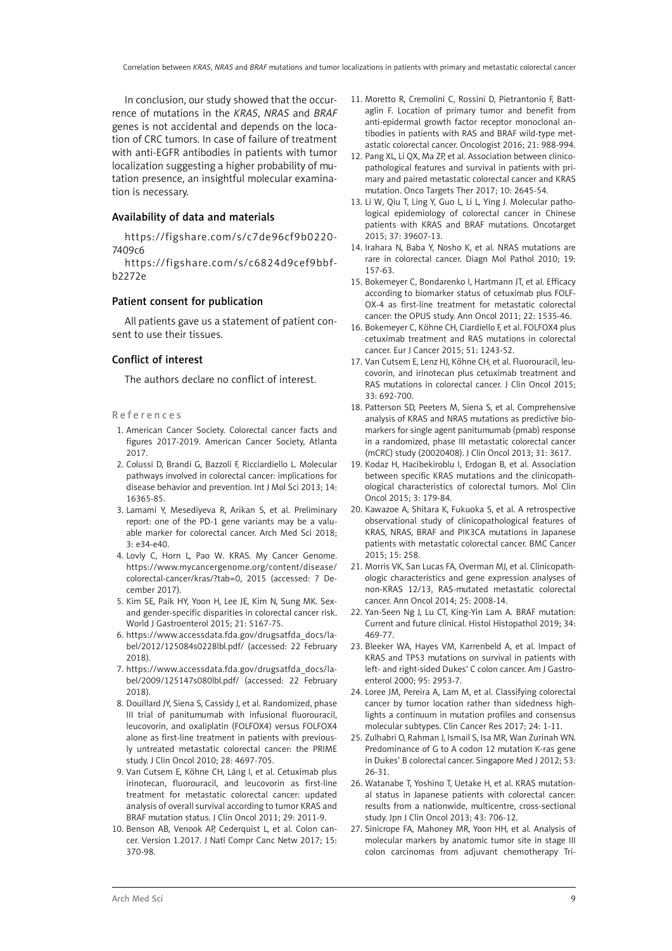In conclusion, our study showed that the occurrence of mutations in the *KRAS*, *NRAS* and *BRAF* genes is not accidental and depends on the location of CRC tumors. In case of failure of treatment with anti-EGFR antibodies in patients with tumor localization suggesting a higher probability of mutation presence, an insightful molecular examination is necessary.

## Availability of data and materials

https://figshare.com/s/c7de96cf9b0220- 7409c6

[https://figshare.com/s/c6824d9cef9bbf](https://figshare.com/s/c6824d9cef9bbfb2272e)[b2272e](https://figshare.com/s/c6824d9cef9bbfb2272e)

## Patient consent for publication

All patients gave us a statement of patient consent to use their tissues.

#### Conflict of interest

The authors declare no conflict of interest.

#### References

- 1. American Cancer Society. Colorectal cancer facts and figures 2017-2019. American Cancer Society, Atlanta 2017.
- 2. Colussi D, Brandi G, Bazzoli F, Ricciardiello L. Molecular pathways involved in colorectal cancer: implications for disease behavior and prevention. Int J Mol Sci 2013; 14: 16365-85.
- 3. Lamami Y, Mesediyeva R, Arikan S, et al. Preliminary report: one of the PD-1 gene variants may be a valuable marker for colorectal cancer. Arch Med Sci 2018; 3: e34-e40.
- 4. Lovly C, Horn L, Pao W. KRAS. My Cancer Genome. https://www.mycancergenome.org/content/disease/ colorectal-cancer/kras/?tab=0, 2015 (accessed: 7 December 2017).
- 5. Kim SE, Paik HY, Yoon H, Lee JE, Kim N, Sung MK. Sexand gender-specific disparities in colorectal cancer risk. World J Gastroenterol 2015; 21: 5167-75.
- 6. https://www.accessdata.fda.gov/drugsatfda\_docs/label/2012/125084s0228lbl.pdf/ (accessed: 22 February 2018).
- 7. https://www.accessdata.fda.gov/drugsatfda\_docs/label/2009/125147s080lbl.pdf/ (accessed: 22 February 2018).
- 8. Douillard JY, Siena S, Cassidy J, et al. Randomized, phase III trial of panitumumab with infusional fluorouracil, leucovorin, and oxaliplatin (FOLFOX4) versus FOLFOX4 alone as first-line treatment in patients with previously untreated metastatic colorectal cancer: the PRIME study. J Clin Oncol 2010; 28: 4697-705.
- 9. Van Cutsem E, Köhne CH, Láng I, et al. Cetuximab plus irinotecan, fluorouracil, and leucovorin as first-line treatment for metastatic colorectal cancer: updated analysis of overall survival according to tumor KRAS and BRAF mutation status. J Clin Oncol 2011; 29: 2011-9.
- 10. Benson AB, Venook AP, Cederquist L, et al. Colon cancer. Version 1.2017. J Natl Compr Canc Netw 2017; 15: 370-98.
- 11. Moretto R, Cremolini C, Rossini D, Pietrantonio F, Battaglin F. Location of primary tumor and benefit from anti-epidermal growth factor receptor monoclonal antibodies in patients with RAS and BRAF wild-type metastatic colorectal cancer. Oncologist 2016; 21: 988-994.
- 12. Pang XL, Li QX, Ma ZP, et al. Association between clinicopathological features and survival in patients with primary and paired metastatic colorectal cancer and KRAS mutation. Onco Targets Ther 2017; 10: 2645-54.
- 13. Li W, Qiu T, Ling Y, Guo L, Li L, Ying J. Molecular pathological epidemiology of colorectal cancer in Chinese patients with KRAS and BRAF mutations. Oncotarget 2015; 37: 39607-13.
- 14. Irahara N, Baba Y, Nosho K, et al. NRAS mutations are rare in colorectal cancer. Diagn Mol Pathol 2010; 19: 157-63.
- 15. Bokemeyer C, Bondarenko I, Hartmann JT, et al. Efficacy according to biomarker status of cetuximab plus FOLF-OX-4 as first-line treatment for metastatic colorectal cancer: the OPUS study. Ann Oncol 2011; 22: 1535-46.
- 16. Bokemeyer C, Köhne CH, Ciardiello F, et al. FOLFOX4 plus cetuximab treatment and RAS mutations in colorectal cancer. Eur J Cancer 2015; 51: 1243-52.
- 17. Van Cutsem E, Lenz HJ, Köhne CH, et al. Fluorouracil, leucovorin, and irinotecan plus cetuximab treatment and RAS mutations in colorectal cancer. J Clin Oncol 2015; 33: 692-700.
- 18. Patterson SD, Peeters M, Siena S, et al. Comprehensive analysis of KRAS and NRAS mutations as predictive biomarkers for single agent panitumumab (pmab) response in a randomized, phase III metastatic colorectal cancer (mCRC) study (20020408). J Clin Oncol 2013; 31: 3617.
- 19. Kodaz H, Hacibekiroblu I, Erdogan B, et al. Association between specific KRAS mutations and the clinicopathological characteristics of colorectal tumors. Mol Clin Oncol 2015; 3: 179-84.
- 20. Kawazoe A, Shitara K, Fukuoka S, et al. A retrospective observational study of clinicopathological features of KRAS, NRAS, BRAF and PIK3CA mutations in Japanese patients with metastatic colorectal cancer. BMC Cancer 2015; 15: 258.
- 21. Morris VK, San Lucas FA, Overman MJ, et al. Clinicopathologic characteristics and gene expression analyses of non-KRAS 12/13, RAS-mutated metastatic colorectal cancer. Ann Oncol 2014; 25: 2008-14.
- 22. Yan-Seen Ng J, Lu CT, King-Yin Lam A. BRAF mutation: Current and future clinical. Histol Histopathol 2019; 34: 469-77.
- 23. Bleeker WA, Hayes VM, Karrenbeld A, et al. Impact of KRAS and TP53 mutations on survival in patients with left- and right-sided Dukes' C colon cancer. Am J Gastroenterol 2000; 95: 2953-7.
- 24. Loree JM, Pereira A, Lam M, et al. Classifying colorectal cancer by tumor location rather than sidedness highlights a continuum in mutation profiles and consensus molecular subtypes. Clin Cancer Res 2017; 24: 1-11.
- 25. Zulhabri O, Rahman J, Ismail S, Isa MR, Wan Zurinah WN. Predominance of G to A codon 12 mutation K-ras gene in Dukes' B colorectal cancer. Singapore Med J 2012; 53: 26-31.
- 26. Watanabe T, Yoshino T, Uetake H, et al. KRAS mutational status in Japanese patients with colorectal cancer: results from a nationwide, multicentre, cross-sectional study. Jpn J Clin Oncol 2013; 43: 706-12.
- 27. Sinicrope FA, Mahoney MR, Yoon HH, et al. Analysis of molecular markers by anatomic tumor site in stage III colon carcinomas from adjuvant chemotherapy Tri-